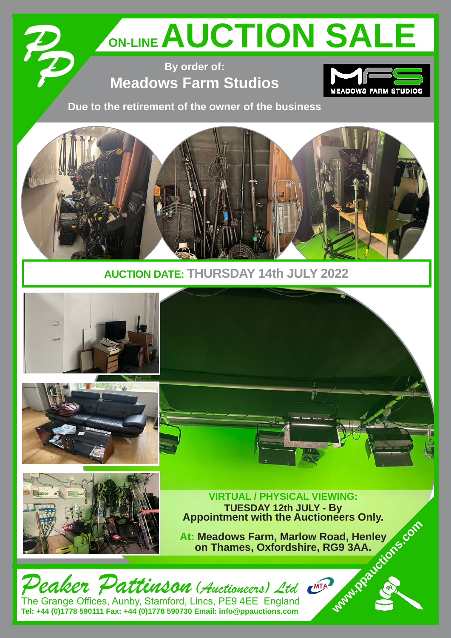# ON-LINE AUCTION SALE

**By order of: Meadows Farm Studios** 

*PP*



**Due to the retirement of the owner of the business**



**AUCTION DATE: THURSDAY 14th JULY 2022** 



The Grange Offices, Aunby, Stamford, Lincs, PE9 4EE England **Tel: +44 (0)1778 590111 Fax: +44 (0)1778 590730 Email: info@ppauctions.com**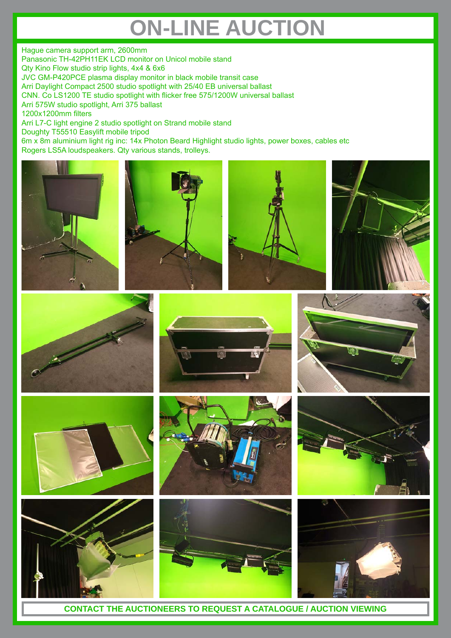### **ON-LINE AUCTION**

Hague camera support arm, 2600mm Panasonic TH-42PH11EK LCD monitor on Unicol mobile stand Qty Kino Flow studio strip lights, 4x4 & 6x6 JVC GM-P420PCE plasma display monitor in black mobile transit case Arri Daylight Compact 2500 studio spotlight with 25/40 EB universal ballast CNN. Co LS1200 TE studio spotlight with flicker free 575/1200W universal ballast Arri 575W studio spotlight, Arri 375 ballast 1200x1200mm filters Arri L7-C light engine 2 studio spotlight on Strand mobile stand Doughty T55510 Easylift mobile tripod 6m x 8m aluminium light rig inc: 14x Photon Beard Highlight studio lights, power boxes, cables etc Rogers LS5A loudspeakers. Qty various stands, trolleys.























**CONTACT THE AUCTIONEERS TO REQUEST A CATALOGUE / AUCTION VIEWING**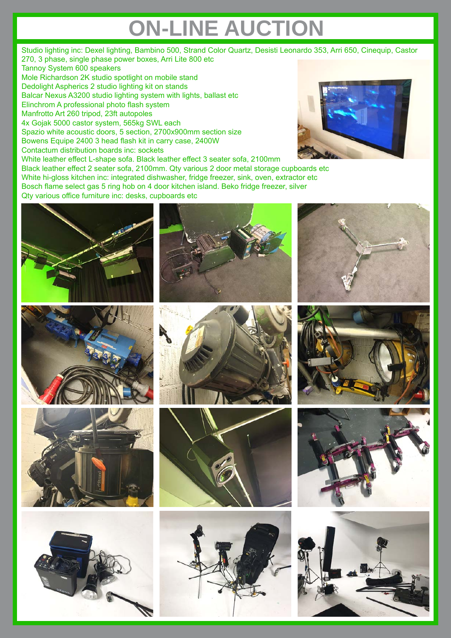# **ON-LINE AUCTION**

Studio lighting inc: Dexel lighting, Bambino 500, Strand Color Quartz, Desisti Leonardo 353, Arri 650, Cinequip, Castor 270, 3 phase, single phase power boxes, Arri Lite 800 etc Tannoy System 600 speakers Mole Richardson 2K studio spotlight on mobile stand Dedolight Aspherics 2 studio lighting kit on stands Balcar Nexus A3200 studio lighting system with lights, ballast etc Elinchrom A professional photo flash system Manfrotto Art 260 tripod, 23ft autopoles 4x Gojak 5000 castor system, 565kg SWL each Spazio white acoustic doors, 5 section, 2700x900mm section size Bowens Equipe 2400 3 head flash kit in carry case, 2400W Contactum distribution boards inc: sockets White leather effect L-shape sofa. Black leather effect 3 seater sofa, 2100mm Black leather effect 2 seater sofa, 2100mm. Qty various 2 door metal storage cupboards etc

White hi-gloss kitchen inc: integrated dishwasher, fridge freezer, sink, oven, extractor etc Bosch flame select gas 5 ring hob on 4 door kitchen island. Beko fridge freezer, silver Qty various office furniture inc: desks, cupboards etc



















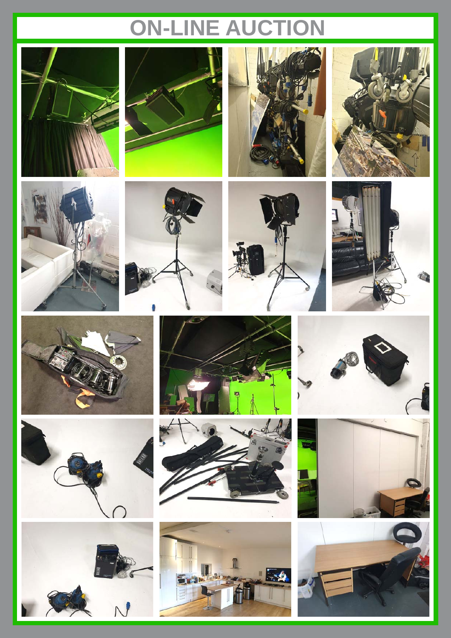## **ON-LINE AUCTION**